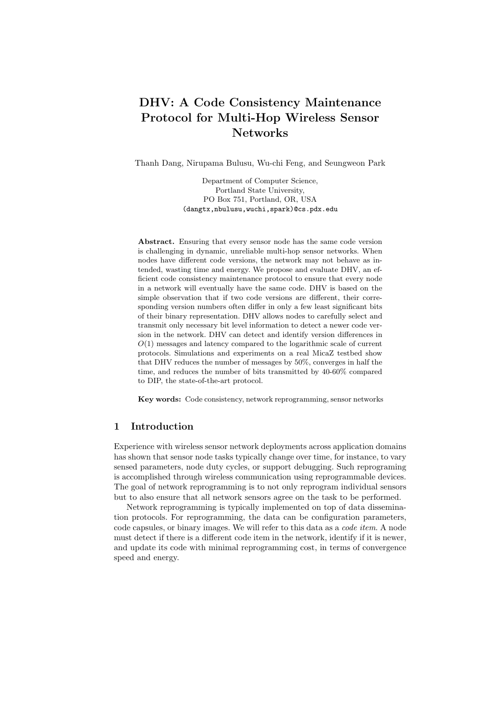# DHV: A Code Consistency Maintenance Protocol for Multi-Hop Wireless Sensor Networks

Thanh Dang, Nirupama Bulusu, Wu-chi Feng, and Seungweon Park

Department of Computer Science, Portland State University, PO Box 751, Portland, OR, USA (dangtx,nbulusu,wuchi,spark)@cs.pdx.edu

Abstract. Ensuring that every sensor node has the same code version is challenging in dynamic, unreliable multi-hop sensor networks. When nodes have different code versions, the network may not behave as intended, wasting time and energy. We propose and evaluate DHV, an efficient code consistency maintenance protocol to ensure that every node in a network will eventually have the same code. DHV is based on the simple observation that if two code versions are different, their corresponding version numbers often differ in only a few least significant bits of their binary representation. DHV allows nodes to carefully select and transmit only necessary bit level information to detect a newer code version in the network. DHV can detect and identify version differences in  $O(1)$  messages and latency compared to the logarithmic scale of current protocols. Simulations and experiments on a real MicaZ testbed show that DHV reduces the number of messages by 50%, converges in half the time, and reduces the number of bits transmitted by 40-60% compared to DIP, the state-of-the-art protocol.

Key words: Code consistency, network reprogramming, sensor networks

# 1 Introduction

Experience with wireless sensor network deployments across application domains has shown that sensor node tasks typically change over time, for instance, to vary sensed parameters, node duty cycles, or support debugging. Such reprograming is accomplished through wireless communication using reprogrammable devices. The goal of network reprogramming is to not only reprogram individual sensors but to also ensure that all network sensors agree on the task to be performed.

Network reprogramming is typically implemented on top of data dissemination protocols. For reprogramming, the data can be configuration parameters, code capsules, or binary images. We will refer to this data as a code item. A node must detect if there is a different code item in the network, identify if it is newer, and update its code with minimal reprogramming cost, in terms of convergence speed and energy.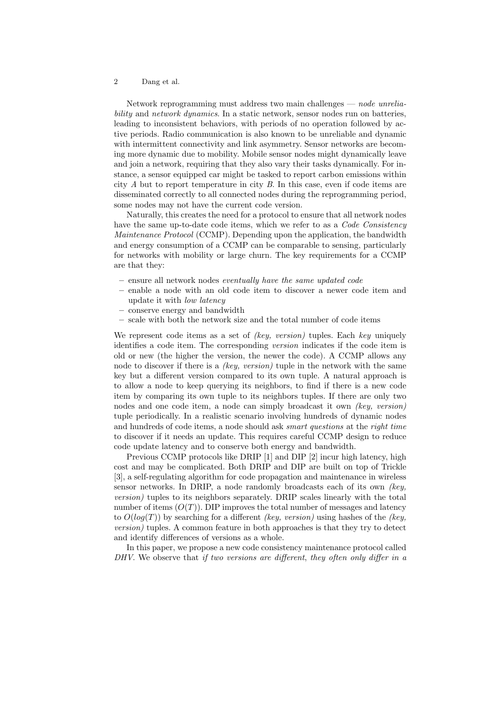Network reprogramming must address two main challenges — node unreliability and network dynamics. In a static network, sensor nodes run on batteries, leading to inconsistent behaviors, with periods of no operation followed by active periods. Radio communication is also known to be unreliable and dynamic with intermittent connectivity and link asymmetry. Sensor networks are becoming more dynamic due to mobility. Mobile sensor nodes might dynamically leave and join a network, requiring that they also vary their tasks dynamically. For instance, a sensor equipped car might be tasked to report carbon emissions within city  $A$  but to report temperature in city  $B$ . In this case, even if code items are disseminated correctly to all connected nodes during the reprogramming period, some nodes may not have the current code version.

Naturally, this creates the need for a protocol to ensure that all network nodes have the same up-to-date code items, which we refer to as a *Code Consistency* Maintenance Protocol (CCMP). Depending upon the application, the bandwidth and energy consumption of a CCMP can be comparable to sensing, particularly for networks with mobility or large churn. The key requirements for a CCMP are that they:

- ensure all network nodes eventually have the same updated code
- enable a node with an old code item to discover a newer code item and update it with low latency
- conserve energy and bandwidth
- scale with both the network size and the total number of code items

We represent code items as a set of  $(key, version)$  tuples. Each key uniquely identifies a code item. The corresponding version indicates if the code item is old or new (the higher the version, the newer the code). A CCMP allows any node to discover if there is a *(key, version)* tuple in the network with the same key but a different version compared to its own tuple. A natural approach is to allow a node to keep querying its neighbors, to find if there is a new code item by comparing its own tuple to its neighbors tuples. If there are only two nodes and one code item, a node can simply broadcast it own *(key, version)* tuple periodically. In a realistic scenario involving hundreds of dynamic nodes and hundreds of code items, a node should ask smart questions at the right time to discover if it needs an update. This requires careful CCMP design to reduce code update latency and to conserve both energy and bandwidth.

Previous CCMP protocols like DRIP [1] and DIP [2] incur high latency, high cost and may be complicated. Both DRIP and DIP are built on top of Trickle [3], a self-regulating algorithm for code propagation and maintenance in wireless sensor networks. In DRIP, a node randomly broadcasts each of its own (key, version) tuples to its neighbors separately. DRIP scales linearly with the total number of items  $(O(T))$ . DIP improves the total number of messages and latency to  $O(log(T))$  by searching for a different *(key, version)* using hashes of the *(key,* version) tuples. A common feature in both approaches is that they try to detect and identify differences of versions as a whole.

In this paper, we propose a new code consistency maintenance protocol called DHV. We observe that if two versions are different, they often only differ in a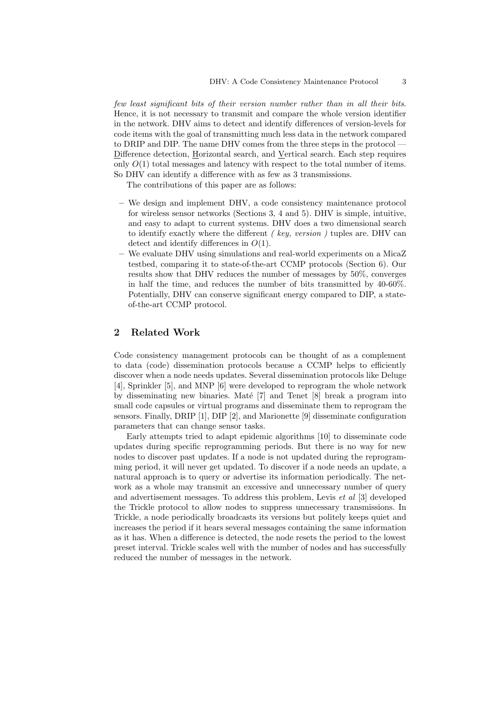few least significant bits of their version number rather than in all their bits. Hence, it is not necessary to transmit and compare the whole version identifier in the network. DHV aims to detect and identify differences of version-levels for code items with the goal of transmitting much less data in the network compared to DRIP and DIP. The name DHV comes from the three steps in the protocol — Difference detection, Horizontal search, and Vertical search. Each step requires only  $O(1)$  total messages and latency with respect to the total number of items. So DHV can identify a difference with as few as 3 transmissions.

The contributions of this paper are as follows:

- We design and implement DHV, a code consistency maintenance protocol for wireless sensor networks (Sections 3, 4 and 5). DHV is simple, intuitive, and easy to adapt to current systems. DHV does a two dimensional search to identify exactly where the different ( key, version ) tuples are. DHV can detect and identify differences in  $O(1)$ .
- We evaluate DHV using simulations and real-world experiments on a MicaZ testbed, comparing it to state-of-the-art CCMP protocols (Section 6). Our results show that DHV reduces the number of messages by 50%, converges in half the time, and reduces the number of bits transmitted by 40-60%. Potentially, DHV can conserve significant energy compared to DIP, a stateof-the-art CCMP protocol.

# 2 Related Work

Code consistency management protocols can be thought of as a complement to data (code) dissemination protocols because a CCMP helps to efficiently discover when a node needs updates. Several dissemination protocols like Deluge [4], Sprinkler [5], and MNP [6] were developed to reprogram the whole network by disseminating new binaries. Maté  $[7]$  and Tenet  $[8]$  break a program into small code capsules or virtual programs and disseminate them to reprogram the sensors. Finally, DRIP [1], DIP [2], and Marionette [9] disseminate configuration parameters that can change sensor tasks.

Early attempts tried to adapt epidemic algorithms [10] to disseminate code updates during specific reprogramming periods. But there is no way for new nodes to discover past updates. If a node is not updated during the reprogramming period, it will never get updated. To discover if a node needs an update, a natural approach is to query or advertise its information periodically. The network as a whole may transmit an excessive and unnecessary number of query and advertisement messages. To address this problem, Levis et al [3] developed the Trickle protocol to allow nodes to suppress unnecessary transmissions. In Trickle, a node periodically broadcasts its versions but politely keeps quiet and increases the period if it hears several messages containing the same information as it has. When a difference is detected, the node resets the period to the lowest preset interval. Trickle scales well with the number of nodes and has successfully reduced the number of messages in the network.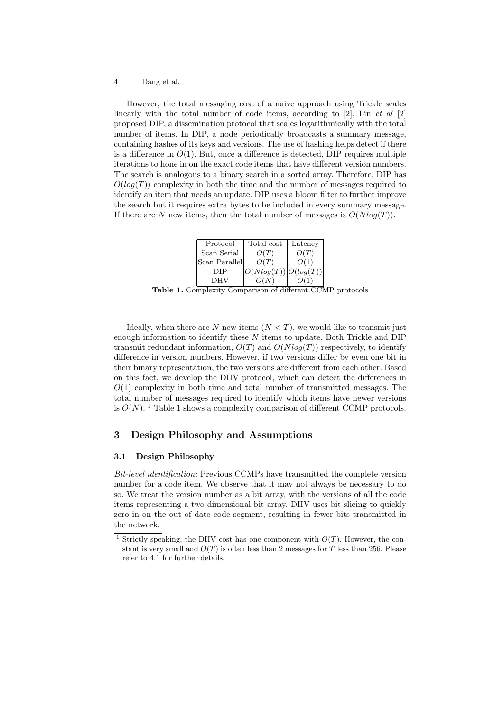However, the total messaging cost of a naive approach using Trickle scales linearly with the total number of code items, according to [2]. Lin *et al* [2] proposed DIP, a dissemination protocol that scales logarithmically with the total number of items. In DIP, a node periodically broadcasts a summary message, containing hashes of its keys and versions. The use of hashing helps detect if there is a difference in  $O(1)$ . But, once a difference is detected. DIP requires multiple iterations to hone in on the exact code items that have different version numbers. The search is analogous to a binary search in a sorted array. Therefore, DIP has  $O(log(T))$  complexity in both the time and the number of messages required to identify an item that needs an update. DIP uses a bloom filter to further improve the search but it requires extra bytes to be included in every summary message. If there are N new items, then the total number of messages is  $O(Nlog(T))$ .

| Protocol      | Total cost           | Latency           |
|---------------|----------------------|-------------------|
| Scan Serial   | O(T)                 | $\overline{O}(T)$ |
| Scan Parallel | O(T)                 | O(1)              |
| <b>DIP</b>    | O(Nlog(T)) O(log(T)) |                   |
| <b>DHV</b>    | O(N)                 |                   |

Table 1. Complexity Comparison of different CCMP protocols

Ideally, when there are N new items  $(N < T)$ , we would like to transmit just enough information to identify these  $N$  items to update. Both Trickle and DIP transmit redundant information,  $O(T)$  and  $O(Nlog(T))$  respectively, to identify difference in version numbers. However, if two versions differ by even one bit in their binary representation, the two versions are different from each other. Based on this fact, we develop the DHV protocol, which can detect the differences in  $O(1)$  complexity in both time and total number of transmitted messages. The total number of messages required to identify which items have newer versions is  $O(N)$ . <sup>1</sup> Table 1 shows a complexity comparison of different CCMP protocols.

# 3 Design Philosophy and Assumptions

## 3.1 Design Philosophy

Bit-level identification: Previous CCMPs have transmitted the complete version number for a code item. We observe that it may not always be necessary to do so. We treat the version number as a bit array, with the versions of all the code items representing a two dimensional bit array. DHV uses bit slicing to quickly zero in on the out of date code segment, resulting in fewer bits transmitted in the network.

<sup>&</sup>lt;sup>1</sup> Strictly speaking, the DHV cost has one component with  $O(T)$ . However, the constant is very small and  $O(T)$  is often less than 2 messages for T less than 256. Please refer to 4.1 for further details.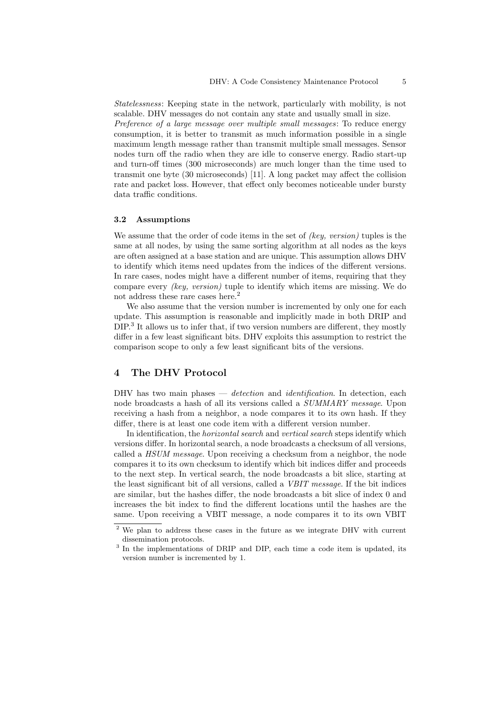Statelessness: Keeping state in the network, particularly with mobility, is not scalable. DHV messages do not contain any state and usually small in size. Preference of a large message over multiple small messages: To reduce energy consumption, it is better to transmit as much information possible in a single maximum length message rather than transmit multiple small messages. Sensor nodes turn off the radio when they are idle to conserve energy. Radio start-up and turn-off times (300 microseconds) are much longer than the time used to transmit one byte (30 microseconds) [11]. A long packet may affect the collision rate and packet loss. However, that effect only becomes noticeable under bursty data traffic conditions.

#### 3.2 Assumptions

We assume that the order of code items in the set of  $(key, version)$  tuples is the same at all nodes, by using the same sorting algorithm at all nodes as the keys are often assigned at a base station and are unique. This assumption allows DHV to identify which items need updates from the indices of the different versions. In rare cases, nodes might have a different number of items, requiring that they compare every (key, version) tuple to identify which items are missing. We do not address these rare cases here.<sup>2</sup>

We also assume that the version number is incremented by only one for each update. This assumption is reasonable and implicitly made in both DRIP and DIP.<sup>3</sup> It allows us to infer that, if two version numbers are different, they mostly differ in a few least significant bits. DHV exploits this assumption to restrict the comparison scope to only a few least significant bits of the versions.

# 4 The DHV Protocol

DHV has two main phases  $-$  *detection* and *identification*. In detection, each node broadcasts a hash of all its versions called a *SUMMARY message*. Upon receiving a hash from a neighbor, a node compares it to its own hash. If they differ, there is at least one code item with a different version number.

In identification, the *horizontal search* and *vertical search* steps identify which versions differ. In horizontal search, a node broadcasts a checksum of all versions, called a HSUM message. Upon receiving a checksum from a neighbor, the node compares it to its own checksum to identify which bit indices differ and proceeds to the next step. In vertical search, the node broadcasts a bit slice, starting at the least significant bit of all versions, called a VBIT message. If the bit indices are similar, but the hashes differ, the node broadcasts a bit slice of index 0 and increases the bit index to find the different locations until the hashes are the same. Upon receiving a VBIT message, a node compares it to its own VBIT

<sup>&</sup>lt;sup>2</sup> We plan to address these cases in the future as we integrate DHV with current dissemination protocols.

<sup>&</sup>lt;sup>3</sup> In the implementations of DRIP and DIP, each time a code item is updated, its version number is incremented by 1.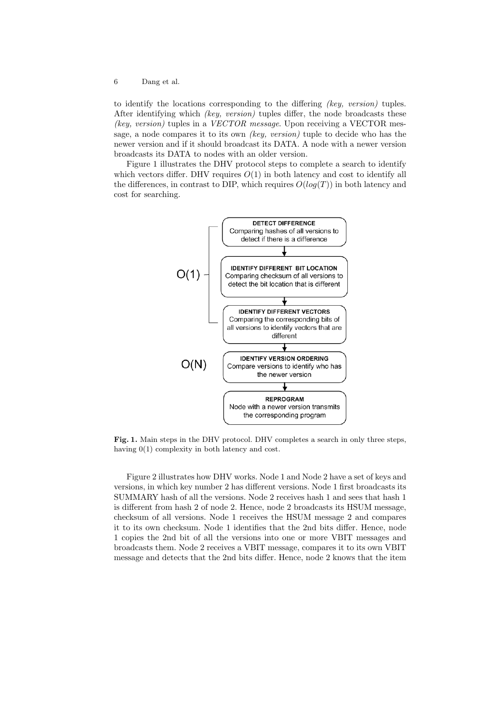to identify the locations corresponding to the differing (key, version) tuples. After identifying which *(key, version)* tuples differ, the node broadcasts these (key, version) tuples in a VECTOR message. Upon receiving a VECTOR message, a node compares it to its own (key, version) tuple to decide who has the newer version and if it should broadcast its DATA. A node with a newer version broadcasts its DATA to nodes with an older version.

Figure 1 illustrates the DHV protocol steps to complete a search to identify which vectors differ. DHV requires  $O(1)$  in both latency and cost to identify all the differences, in contrast to DIP, which requires  $O(log(T))$  in both latency and cost for searching.



Fig. 1. Main steps in the DHV protocol. DHV completes a search in only three steps, having 0(1) complexity in both latency and cost.

Figure 2 illustrates how DHV works. Node 1 and Node 2 have a set of keys and versions, in which key number 2 has different versions. Node 1 first broadcasts its SUMMARY hash of all the versions. Node 2 receives hash 1 and sees that hash 1 is different from hash 2 of node 2. Hence, node 2 broadcasts its HSUM message, checksum of all versions. Node 1 receives the HSUM message 2 and compares it to its own checksum. Node 1 identifies that the 2nd bits differ. Hence, node 1 copies the 2nd bit of all the versions into one or more VBIT messages and broadcasts them. Node 2 receives a VBIT message, compares it to its own VBIT message and detects that the 2nd bits differ. Hence, node 2 knows that the item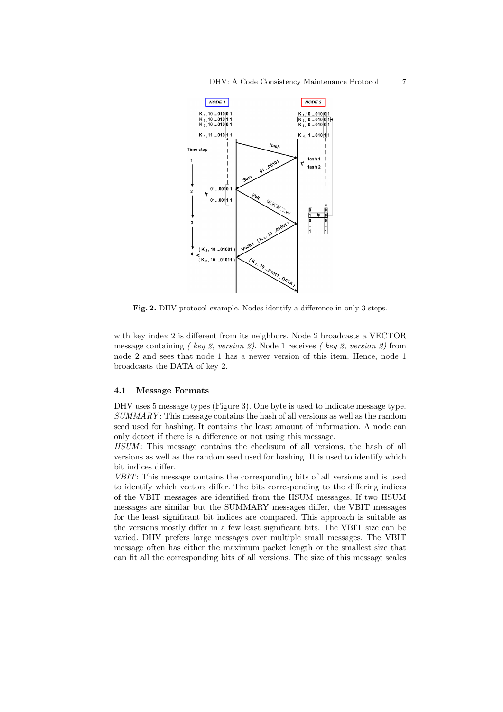

Fig. 2. DHV protocol example. Nodes identify a difference in only 3 steps.

with key index 2 is different from its neighbors. Node 2 broadcasts a VECTOR message containing ( key 2, version 2). Node 1 receives ( key 2, version 2) from node 2 and sees that node 1 has a newer version of this item. Hence, node 1 broadcasts the DATA of key 2.

#### 4.1 Message Formats

DHV uses 5 message types (Figure 3). One byte is used to indicate message type.  $SUMMARY$ : This message contains the hash of all versions as well as the random seed used for hashing. It contains the least amount of information. A node can only detect if there is a difference or not using this message.

HSUM: This message contains the checksum of all versions, the hash of all versions as well as the random seed used for hashing. It is used to identify which bit indices differ.

VBIT: This message contains the corresponding bits of all versions and is used to identify which vectors differ. The bits corresponding to the differing indices of the VBIT messages are identified from the HSUM messages. If two HSUM messages are similar but the SUMMARY messages differ, the VBIT messages for the least significant bit indices are compared. This approach is suitable as the versions mostly differ in a few least significant bits. The VBIT size can be varied. DHV prefers large messages over multiple small messages. The VBIT message often has either the maximum packet length or the smallest size that can fit all the corresponding bits of all versions. The size of this message scales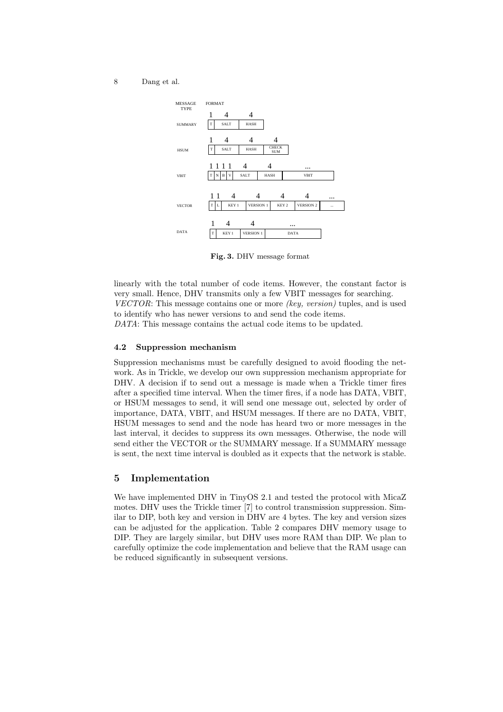

Fig. 3. DHV message format

linearly with the total number of code items. However, the constant factor is very small. Hence, DHV transmits only a few VBIT messages for searching. VECTOR: This message contains one or more (key, version) tuples, and is used to identify who has newer versions to and send the code items. DATA: This message contains the actual code items to be updated.

#### 4.2 Suppression mechanism

Suppression mechanisms must be carefully designed to avoid flooding the network. As in Trickle, we develop our own suppression mechanism appropriate for DHV. A decision if to send out a message is made when a Trickle timer fires after a specified time interval. When the timer fires, if a node has DATA, VBIT, or HSUM messages to send, it will send one message out, selected by order of importance, DATA, VBIT, and HSUM messages. If there are no DATA, VBIT, HSUM messages to send and the node has heard two or more messages in the last interval, it decides to suppress its own messages. Otherwise, the node will send either the VECTOR or the SUMMARY message. If a SUMMARY message is sent, the next time interval is doubled as it expects that the network is stable.

# 5 Implementation

We have implemented DHV in TinyOS 2.1 and tested the protocol with MicaZ motes. DHV uses the Trickle timer [7] to control transmission suppression. Similar to DIP, both key and version in DHV are 4 bytes. The key and version sizes can be adjusted for the application. Table 2 compares DHV memory usage to DIP. They are largely similar, but DHV uses more RAM than DIP. We plan to carefully optimize the code implementation and believe that the RAM usage can be reduced significantly in subsequent versions.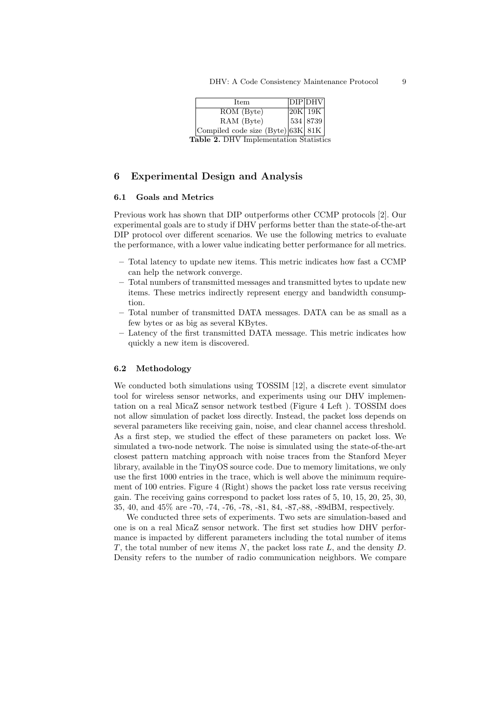DHV: A Code Consistency Maintenance Protocol 9

| Item                                   | <b>DIPDHV</b> |  |
|----------------------------------------|---------------|--|
| ROM (Byte)                             | 20K  19K      |  |
| RAM (Byte)                             | 534 8739      |  |
| Compiled code size (Byte) 63K 81K      |               |  |
| Table 2. DHV Implementation Statistics |               |  |

6 Experimental Design and Analysis

#### 6.1 Goals and Metrics

Previous work has shown that DIP outperforms other CCMP protocols [2]. Our experimental goals are to study if DHV performs better than the state-of-the-art DIP protocol over different scenarios. We use the following metrics to evaluate the performance, with a lower value indicating better performance for all metrics.

- Total latency to update new items. This metric indicates how fast a CCMP can help the network converge.
- Total numbers of transmitted messages and transmitted bytes to update new items. These metrics indirectly represent energy and bandwidth consumption.
- Total number of transmitted DATA messages. DATA can be as small as a few bytes or as big as several KBytes.
- Latency of the first transmitted DATA message. This metric indicates how quickly a new item is discovered.

#### 6.2 Methodology

We conducted both simulations using TOSSIM [12], a discrete event simulator tool for wireless sensor networks, and experiments using our DHV implementation on a real MicaZ sensor network testbed (Figure 4 Left ). TOSSIM does not allow simulation of packet loss directly. Instead, the packet loss depends on several parameters like receiving gain, noise, and clear channel access threshold. As a first step, we studied the effect of these parameters on packet loss. We simulated a two-node network. The noise is simulated using the state-of-the-art closest pattern matching approach with noise traces from the Stanford Meyer library, available in the TinyOS source code. Due to memory limitations, we only use the first 1000 entries in the trace, which is well above the minimum requirement of 100 entries. Figure 4 (Right) shows the packet loss rate versus receiving gain. The receiving gains correspond to packet loss rates of 5, 10, 15, 20, 25, 30, 35, 40, and 45% are -70, -74, -76, -78, -81, 84, -87,-88, -89dBM, respectively.

We conducted three sets of experiments. Two sets are simulation-based and one is on a real MicaZ sensor network. The first set studies how DHV performance is impacted by different parameters including the total number of items T, the total number of new items  $N$ , the packet loss rate  $L$ , and the density  $D$ . Density refers to the number of radio communication neighbors. We compare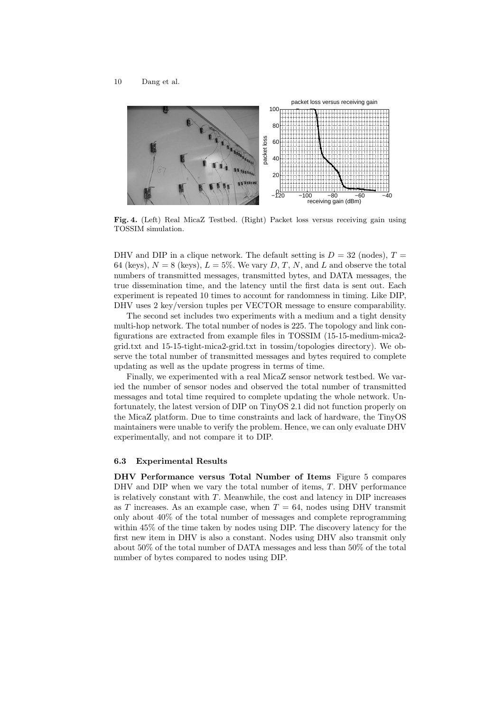

Fig. 4. (Left) Real MicaZ Testbed. (Right) Packet loss versus receiving gain using TOSSIM simulation.

DHV and DIP in a clique network. The default setting is  $D = 32$  (nodes),  $T =$ 64 (keys),  $N = 8$  (keys),  $L = 5\%$ . We vary D, T, N, and L and observe the total numbers of transmitted messages, transmitted bytes, and DATA messages, the true dissemination time, and the latency until the first data is sent out. Each experiment is repeated 10 times to account for randomness in timing. Like DIP, DHV uses 2 key/version tuples per VECTOR message to ensure comparability.

The second set includes two experiments with a medium and a tight density multi-hop network. The total number of nodes is 225. The topology and link configurations are extracted from example files in TOSSIM (15-15-medium-mica2 grid.txt and 15-15-tight-mica2-grid.txt in tossim/topologies directory). We observe the total number of transmitted messages and bytes required to complete updating as well as the update progress in terms of time.

Finally, we experimented with a real MicaZ sensor network testbed. We varied the number of sensor nodes and observed the total number of transmitted messages and total time required to complete updating the whole network. Unfortunately, the latest version of DIP on TinyOS 2.1 did not function properly on the MicaZ platform. Due to time constraints and lack of hardware, the TinyOS maintainers were unable to verify the problem. Hence, we can only evaluate DHV experimentally, and not compare it to DIP.

## 6.3 Experimental Results

DHV Performance versus Total Number of Items Figure 5 compares DHV and DIP when we vary the total number of items, T. DHV performance is relatively constant with  $T$ . Meanwhile, the cost and latency in DIP increases as T increases. As an example case, when  $T = 64$ , nodes using DHV transmit only about 40% of the total number of messages and complete reprogramming within 45% of the time taken by nodes using DIP. The discovery latency for the first new item in DHV is also a constant. Nodes using DHV also transmit only about 50% of the total number of DATA messages and less than 50% of the total number of bytes compared to nodes using DIP.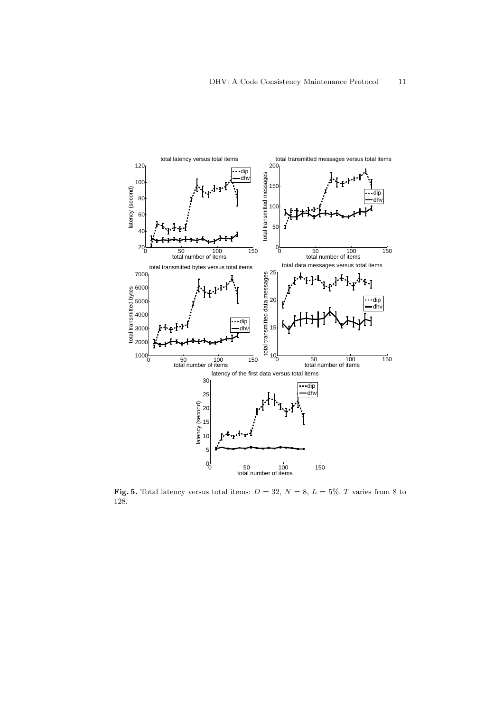

Fig. 5. Total latency versus total items:  $D = 32, N = 8, L = 5\%$ . T varies from 8 to 128.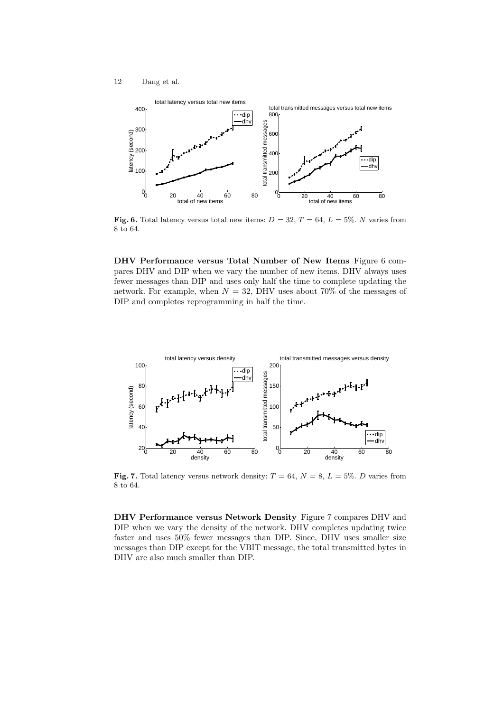

Fig. 6. Total latency versus total new items:  $D = 32, T = 64, L = 5\%$ . N varies from 8 to 64.

DHV Performance versus Total Number of New Items Figure 6 compares DHV and DIP when we vary the number of new items. DHV always uses fewer messages than DIP and uses only half the time to complete updating the network. For example, when  $N = 32$ , DHV uses about 70% of the messages of DIP and completes reprogramming in half the time.



Fig. 7. Total latency versus network density:  $T = 64$ ,  $N = 8$ ,  $L = 5\%$ . D varies from 8 to 64.

DHV Performance versus Network Density Figure 7 compares DHV and DIP when we vary the density of the network. DHV completes updating twice faster and uses 50% fewer messages than DIP. Since, DHV uses smaller size messages than DIP except for the VBIT message, the total transmitted bytes in DHV are also much smaller than DIP.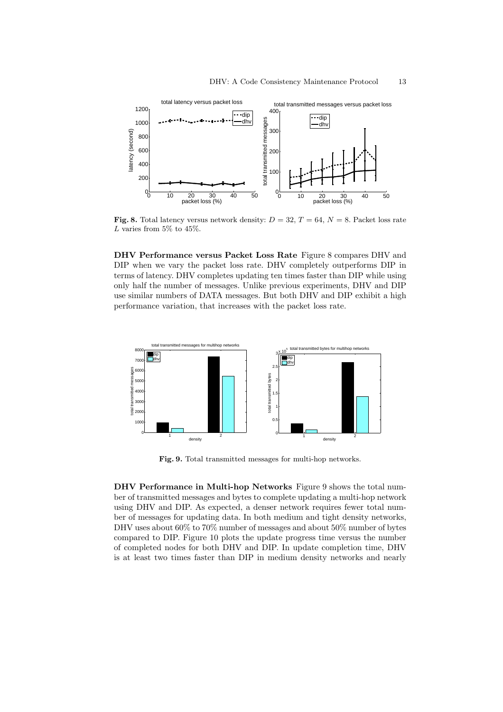

Fig. 8. Total latency versus network density:  $D = 32, T = 64, N = 8$ . Packet loss rate  $L$  varies from 5% to 45%.

DHV Performance versus Packet Loss Rate Figure 8 compares DHV and DIP when we vary the packet loss rate. DHV completely outperforms DIP in terms of latency. DHV completes updating ten times faster than DIP while using only half the number of messages. Unlike previous experiments, DHV and DIP use similar numbers of DATA messages. But both DHV and DIP exhibit a high performance variation, that increases with the packet loss rate.



Fig. 9. Total transmitted messages for multi-hop networks.

DHV Performance in Multi-hop Networks Figure 9 shows the total number of transmitted messages and bytes to complete updating a multi-hop network using DHV and DIP. As expected, a denser network requires fewer total number of messages for updating data. In both medium and tight density networks, DHV uses about 60% to 70% number of messages and about 50% number of bytes compared to DIP. Figure 10 plots the update progress time versus the number of completed nodes for both DHV and DIP. In update completion time, DHV is at least two times faster than DIP in medium density networks and nearly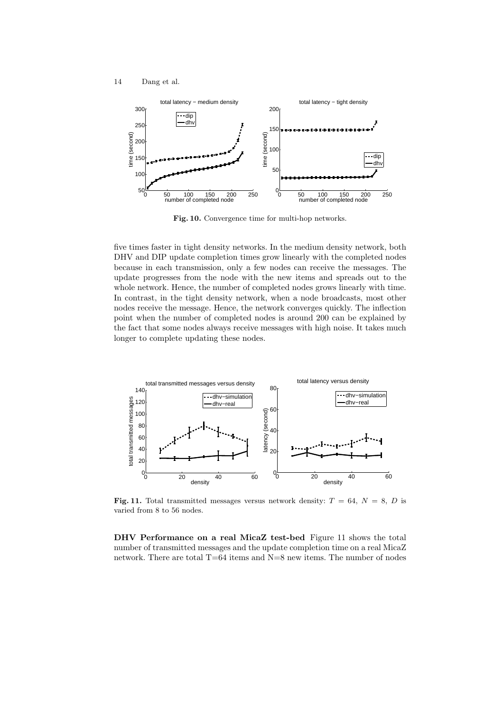



Fig. 10. Convergence time for multi-hop networks.

five times faster in tight density networks. In the medium density network, both DHV and DIP update completion times grow linearly with the completed nodes because in each transmission, only a few nodes can receive the messages. The update progresses from the node with the new items and spreads out to the whole network. Hence, the number of completed nodes grows linearly with time. In contrast, in the tight density network, when a node broadcasts, most other nodes receive the message. Hence, the network converges quickly. The inflection point when the number of completed nodes is around 200 can be explained by the fact that some nodes always receive messages with high noise. It takes much longer to complete updating these nodes.



Fig. 11. Total transmitted messages versus network density:  $T = 64$ ,  $N = 8$ , D is varied from 8 to 56 nodes.

DHV Performance on a real MicaZ test-bed Figure 11 shows the total number of transmitted messages and the update completion time on a real MicaZ network. There are total  $T=64$  items and  $N=8$  new items. The number of nodes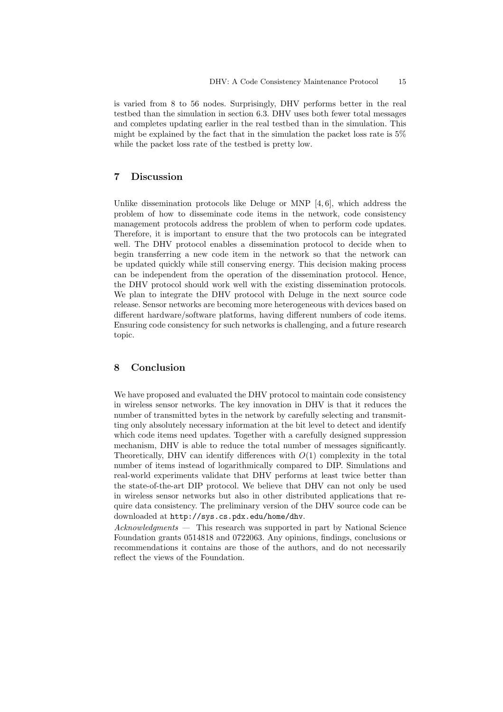is varied from 8 to 56 nodes. Surprisingly, DHV performs better in the real testbed than the simulation in section 6.3. DHV uses both fewer total messages and completes updating earlier in the real testbed than in the simulation. This might be explained by the fact that in the simulation the packet loss rate is 5% while the packet loss rate of the testbed is pretty low.

# 7 Discussion

Unlike dissemination protocols like Deluge or MNP  $[4, 6]$ , which address the problem of how to disseminate code items in the network, code consistency management protocols address the problem of when to perform code updates. Therefore, it is important to ensure that the two protocols can be integrated well. The DHV protocol enables a dissemination protocol to decide when to begin transferring a new code item in the network so that the network can be updated quickly while still conserving energy. This decision making process can be independent from the operation of the dissemination protocol. Hence, the DHV protocol should work well with the existing dissemination protocols. We plan to integrate the DHV protocol with Deluge in the next source code release. Sensor networks are becoming more heterogeneous with devices based on different hardware/software platforms, having different numbers of code items. Ensuring code consistency for such networks is challenging, and a future research topic.

# 8 Conclusion

We have proposed and evaluated the DHV protocol to maintain code consistency in wireless sensor networks. The key innovation in DHV is that it reduces the number of transmitted bytes in the network by carefully selecting and transmitting only absolutely necessary information at the bit level to detect and identify which code items need updates. Together with a carefully designed suppression mechanism, DHV is able to reduce the total number of messages significantly. Theoretically, DHV can identify differences with  $O(1)$  complexity in the total number of items instead of logarithmically compared to DIP. Simulations and real-world experiments validate that DHV performs at least twice better than the state-of-the-art DIP protocol. We believe that DHV can not only be used in wireless sensor networks but also in other distributed applications that require data consistency. The preliminary version of the DHV source code can be downloaded at http://sys.cs.pdx.edu/home/dhv.

 $Acknowledgments$  — This research was supported in part by National Science Foundation grants 0514818 and 0722063. Any opinions, findings, conclusions or recommendations it contains are those of the authors, and do not necessarily reflect the views of the Foundation.